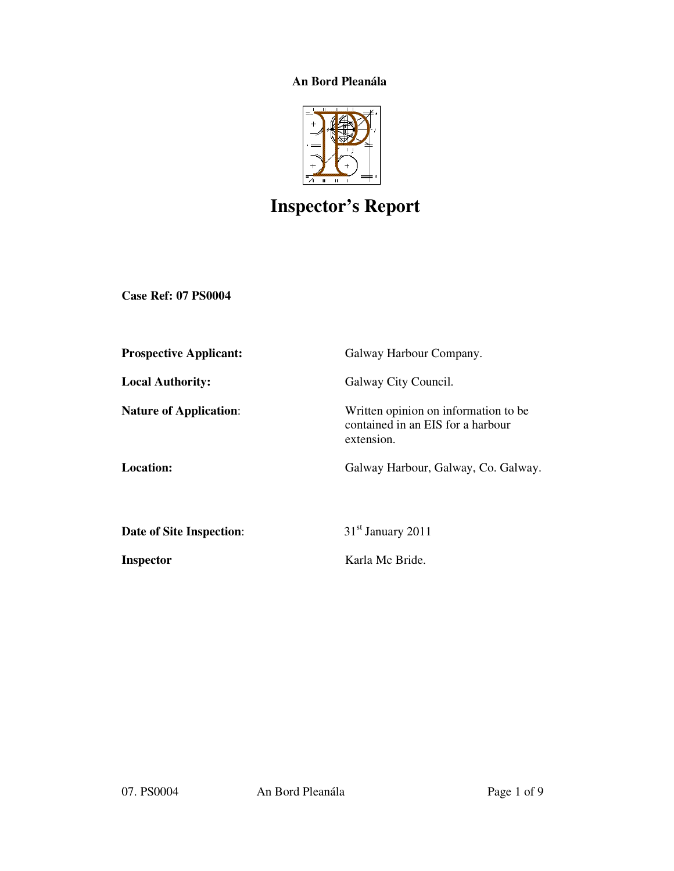# **An Bord Pleanála**



# **Inspector's Report**

**Case Ref: 07 PS0004** 

| <b>Prospective Applicant:</b> | Galway Harbour Company.                                                                  |
|-------------------------------|------------------------------------------------------------------------------------------|
| <b>Local Authority:</b>       | Galway City Council.                                                                     |
| <b>Nature of Application:</b> | Written opinion on information to be.<br>contained in an EIS for a harbour<br>extension. |
| <b>Location:</b>              | Galway Harbour, Galway, Co. Galway.                                                      |
|                               |                                                                                          |
| Date of Site Inspection:      | 31 <sup>st</sup> January 2011                                                            |
| <b>Inspector</b>              | Karla Mc Bride.                                                                          |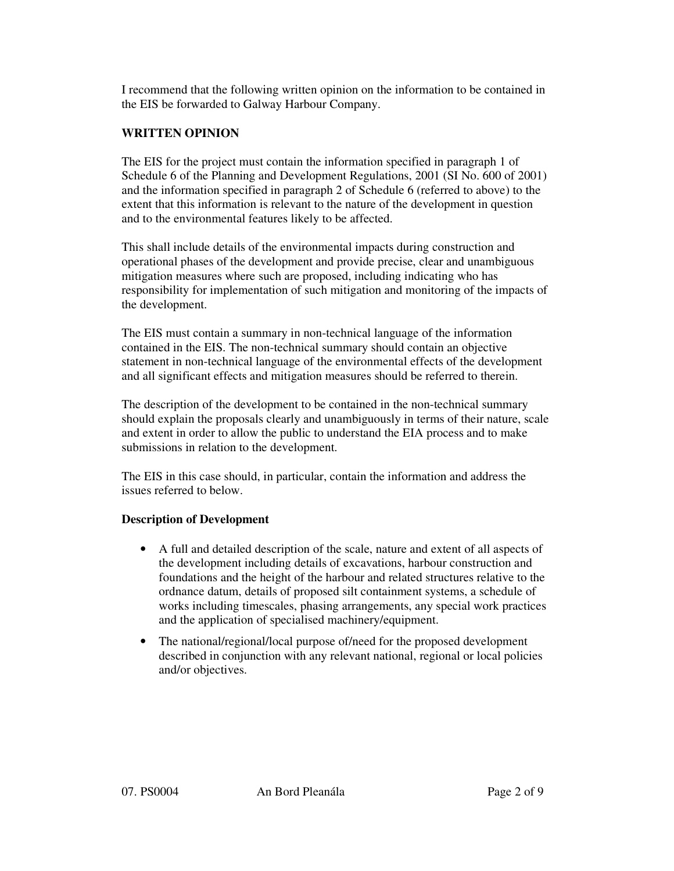I recommend that the following written opinion on the information to be contained in the EIS be forwarded to Galway Harbour Company.

#### **WRITTEN OPINION**

The EIS for the project must contain the information specified in paragraph 1 of Schedule 6 of the Planning and Development Regulations, 2001 (SI No. 600 of 2001) and the information specified in paragraph 2 of Schedule 6 (referred to above) to the extent that this information is relevant to the nature of the development in question and to the environmental features likely to be affected.

This shall include details of the environmental impacts during construction and operational phases of the development and provide precise, clear and unambiguous mitigation measures where such are proposed, including indicating who has responsibility for implementation of such mitigation and monitoring of the impacts of the development.

The EIS must contain a summary in non-technical language of the information contained in the EIS. The non-technical summary should contain an objective statement in non-technical language of the environmental effects of the development and all significant effects and mitigation measures should be referred to therein.

The description of the development to be contained in the non-technical summary should explain the proposals clearly and unambiguously in terms of their nature, scale and extent in order to allow the public to understand the EIA process and to make submissions in relation to the development.

The EIS in this case should, in particular, contain the information and address the issues referred to below.

## **Description of Development**

- A full and detailed description of the scale, nature and extent of all aspects of the development including details of excavations, harbour construction and foundations and the height of the harbour and related structures relative to the ordnance datum, details of proposed silt containment systems, a schedule of works including timescales, phasing arrangements, any special work practices and the application of specialised machinery/equipment.
- The national/regional/local purpose of/need for the proposed development described in conjunction with any relevant national, regional or local policies and/or objectives.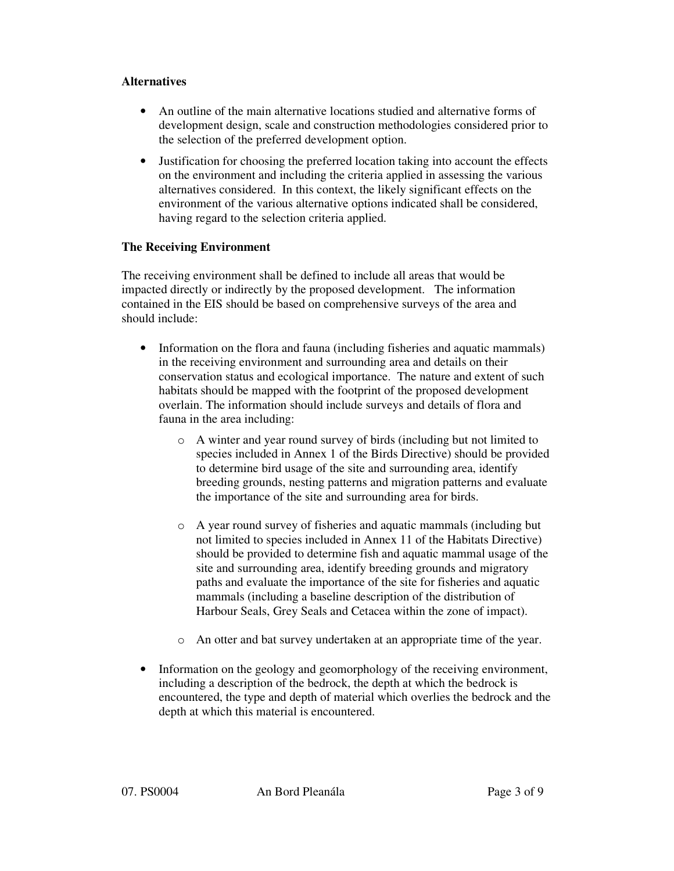#### **Alternatives**

- An outline of the main alternative locations studied and alternative forms of development design, scale and construction methodologies considered prior to the selection of the preferred development option.
- Justification for choosing the preferred location taking into account the effects on the environment and including the criteria applied in assessing the various alternatives considered. In this context, the likely significant effects on the environment of the various alternative options indicated shall be considered, having regard to the selection criteria applied.

## **The Receiving Environment**

The receiving environment shall be defined to include all areas that would be impacted directly or indirectly by the proposed development. The information contained in the EIS should be based on comprehensive surveys of the area and should include:

- Information on the flora and fauna (including fisheries and aquatic mammals) in the receiving environment and surrounding area and details on their conservation status and ecological importance. The nature and extent of such habitats should be mapped with the footprint of the proposed development overlain. The information should include surveys and details of flora and fauna in the area including:
	- o A winter and year round survey of birds (including but not limited to species included in Annex 1 of the Birds Directive) should be provided to determine bird usage of the site and surrounding area, identify breeding grounds, nesting patterns and migration patterns and evaluate the importance of the site and surrounding area for birds.
	- o A year round survey of fisheries and aquatic mammals (including but not limited to species included in Annex 11 of the Habitats Directive) should be provided to determine fish and aquatic mammal usage of the site and surrounding area, identify breeding grounds and migratory paths and evaluate the importance of the site for fisheries and aquatic mammals (including a baseline description of the distribution of Harbour Seals, Grey Seals and Cetacea within the zone of impact).
	- o An otter and bat survey undertaken at an appropriate time of the year.
- Information on the geology and geomorphology of the receiving environment, including a description of the bedrock, the depth at which the bedrock is encountered, the type and depth of material which overlies the bedrock and the depth at which this material is encountered.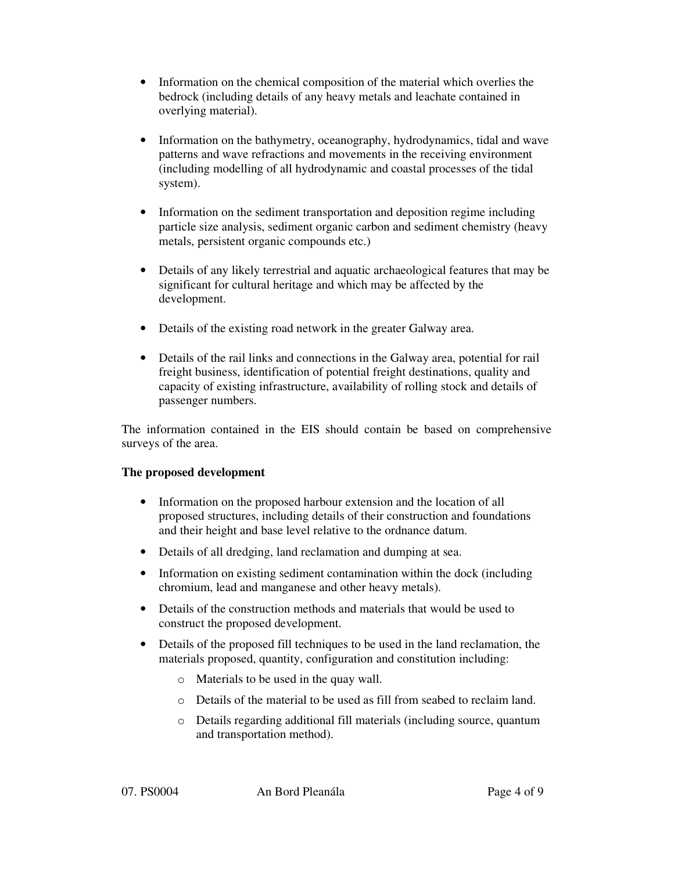- Information on the chemical composition of the material which overlies the bedrock (including details of any heavy metals and leachate contained in overlying material).
- Information on the bathymetry, oceanography, hydrodynamics, tidal and wave patterns and wave refractions and movements in the receiving environment (including modelling of all hydrodynamic and coastal processes of the tidal system).
- Information on the sediment transportation and deposition regime including particle size analysis, sediment organic carbon and sediment chemistry (heavy metals, persistent organic compounds etc.)
- Details of any likely terrestrial and aquatic archaeological features that may be significant for cultural heritage and which may be affected by the development.
- Details of the existing road network in the greater Galway area.
- Details of the rail links and connections in the Galway area, potential for rail freight business, identification of potential freight destinations, quality and capacity of existing infrastructure, availability of rolling stock and details of passenger numbers.

The information contained in the EIS should contain be based on comprehensive surveys of the area.

## **The proposed development**

- Information on the proposed harbour extension and the location of all proposed structures, including details of their construction and foundations and their height and base level relative to the ordnance datum.
- Details of all dredging, land reclamation and dumping at sea.
- Information on existing sediment contamination within the dock (including chromium, lead and manganese and other heavy metals).
- Details of the construction methods and materials that would be used to construct the proposed development.
- Details of the proposed fill techniques to be used in the land reclamation, the materials proposed, quantity, configuration and constitution including:
	- o Materials to be used in the quay wall.
	- o Details of the material to be used as fill from seabed to reclaim land.
	- o Details regarding additional fill materials (including source, quantum and transportation method).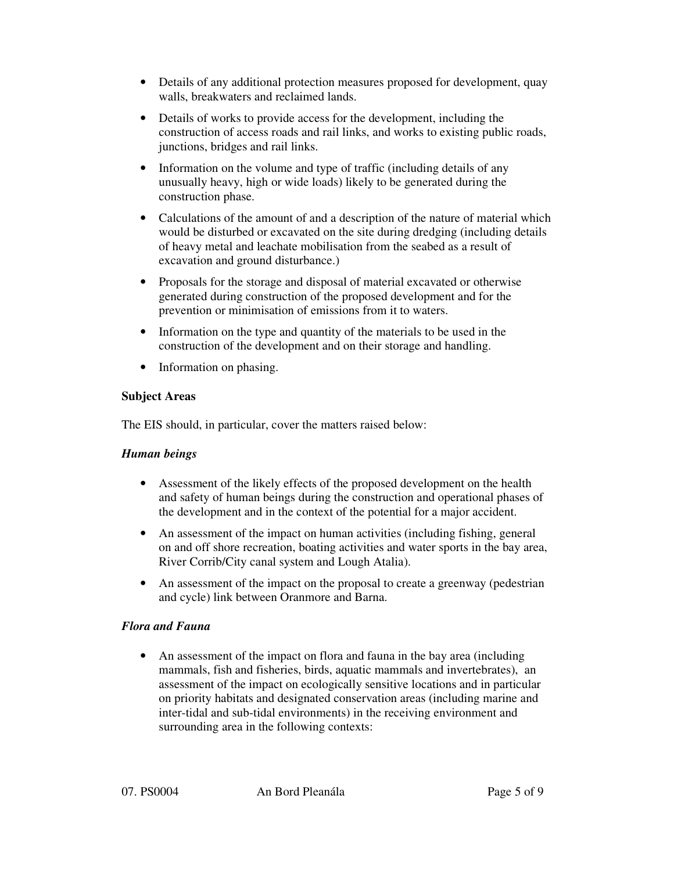- Details of any additional protection measures proposed for development, quay walls, breakwaters and reclaimed lands.
- Details of works to provide access for the development, including the construction of access roads and rail links, and works to existing public roads, junctions, bridges and rail links.
- Information on the volume and type of traffic (including details of any unusually heavy, high or wide loads) likely to be generated during the construction phase.
- Calculations of the amount of and a description of the nature of material which would be disturbed or excavated on the site during dredging (including details of heavy metal and leachate mobilisation from the seabed as a result of excavation and ground disturbance.)
- Proposals for the storage and disposal of material excavated or otherwise generated during construction of the proposed development and for the prevention or minimisation of emissions from it to waters.
- Information on the type and quantity of the materials to be used in the construction of the development and on their storage and handling.
- Information on phasing.

## **Subject Areas**

The EIS should, in particular, cover the matters raised below:

# *Human beings*

- Assessment of the likely effects of the proposed development on the health and safety of human beings during the construction and operational phases of the development and in the context of the potential for a major accident.
- An assessment of the impact on human activities (including fishing, general on and off shore recreation, boating activities and water sports in the bay area, River Corrib/City canal system and Lough Atalia).
- An assessment of the impact on the proposal to create a greenway (pedestrian and cycle) link between Oranmore and Barna.

# *Flora and Fauna*

• An assessment of the impact on flora and fauna in the bay area (including mammals, fish and fisheries, birds, aquatic mammals and invertebrates), an assessment of the impact on ecologically sensitive locations and in particular on priority habitats and designated conservation areas (including marine and inter-tidal and sub-tidal environments) in the receiving environment and surrounding area in the following contexts: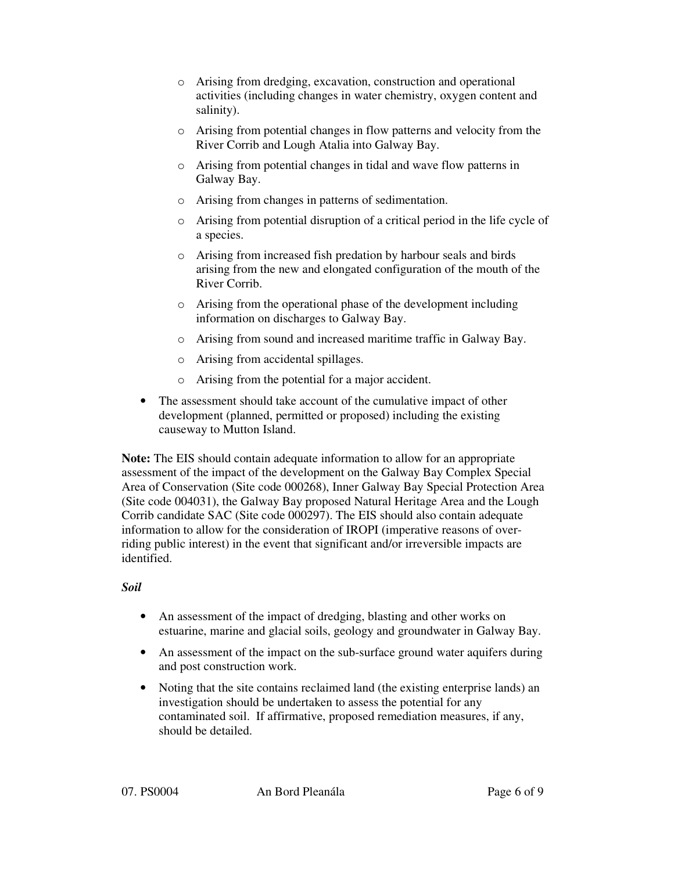- o Arising from dredging, excavation, construction and operational activities (including changes in water chemistry, oxygen content and salinity).
- o Arising from potential changes in flow patterns and velocity from the River Corrib and Lough Atalia into Galway Bay.
- o Arising from potential changes in tidal and wave flow patterns in Galway Bay.
- o Arising from changes in patterns of sedimentation.
- o Arising from potential disruption of a critical period in the life cycle of a species.
- o Arising from increased fish predation by harbour seals and birds arising from the new and elongated configuration of the mouth of the River Corrib.
- o Arising from the operational phase of the development including information on discharges to Galway Bay.
- o Arising from sound and increased maritime traffic in Galway Bay.
- o Arising from accidental spillages.
- o Arising from the potential for a major accident.
- The assessment should take account of the cumulative impact of other development (planned, permitted or proposed) including the existing causeway to Mutton Island.

**Note:** The EIS should contain adequate information to allow for an appropriate assessment of the impact of the development on the Galway Bay Complex Special Area of Conservation (Site code 000268), Inner Galway Bay Special Protection Area (Site code 004031), the Galway Bay proposed Natural Heritage Area and the Lough Corrib candidate SAC (Site code 000297). The EIS should also contain adequate information to allow for the consideration of IROPI (imperative reasons of overriding public interest) in the event that significant and/or irreversible impacts are identified.

## *Soil*

- An assessment of the impact of dredging, blasting and other works on estuarine, marine and glacial soils, geology and groundwater in Galway Bay.
- An assessment of the impact on the sub-surface ground water aquifers during and post construction work.
- Noting that the site contains reclaimed land (the existing enterprise lands) an investigation should be undertaken to assess the potential for any contaminated soil. If affirmative, proposed remediation measures, if any, should be detailed.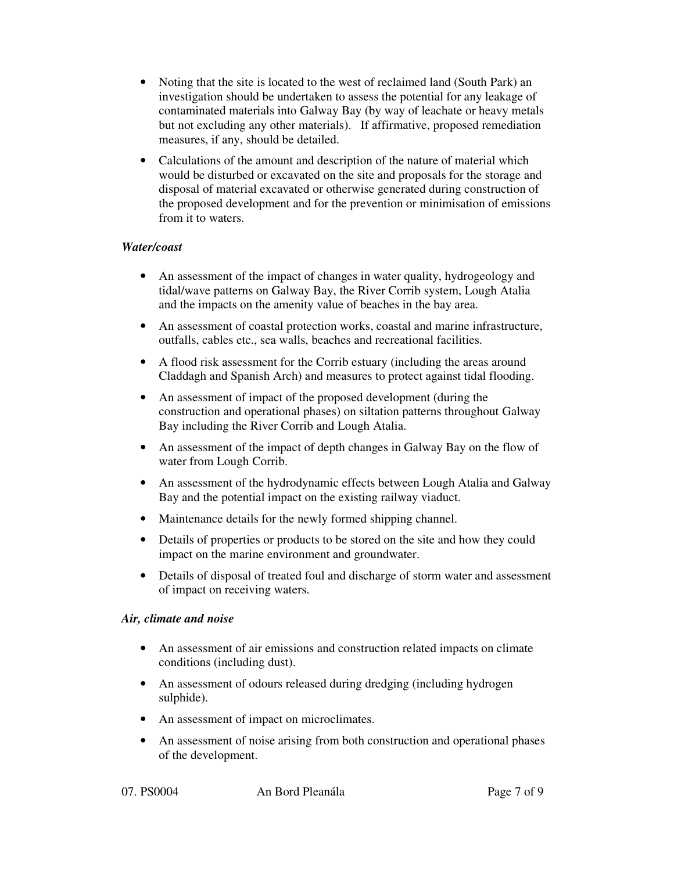- Noting that the site is located to the west of reclaimed land (South Park) an investigation should be undertaken to assess the potential for any leakage of contaminated materials into Galway Bay (by way of leachate or heavy metals but not excluding any other materials). If affirmative, proposed remediation measures, if any, should be detailed.
- Calculations of the amount and description of the nature of material which would be disturbed or excavated on the site and proposals for the storage and disposal of material excavated or otherwise generated during construction of the proposed development and for the prevention or minimisation of emissions from it to waters.

## *Water/coast*

- An assessment of the impact of changes in water quality, hydrogeology and tidal/wave patterns on Galway Bay, the River Corrib system, Lough Atalia and the impacts on the amenity value of beaches in the bay area.
- An assessment of coastal protection works, coastal and marine infrastructure, outfalls, cables etc., sea walls, beaches and recreational facilities.
- A flood risk assessment for the Corrib estuary (including the areas around Claddagh and Spanish Arch) and measures to protect against tidal flooding.
- An assessment of impact of the proposed development (during the construction and operational phases) on siltation patterns throughout Galway Bay including the River Corrib and Lough Atalia.
- An assessment of the impact of depth changes in Galway Bay on the flow of water from Lough Corrib.
- An assessment of the hydrodynamic effects between Lough Atalia and Galway Bay and the potential impact on the existing railway viaduct.
- Maintenance details for the newly formed shipping channel.
- Details of properties or products to be stored on the site and how they could impact on the marine environment and groundwater.
- Details of disposal of treated foul and discharge of storm water and assessment of impact on receiving waters.

## *Air, climate and noise*

- An assessment of air emissions and construction related impacts on climate conditions (including dust).
- An assessment of odours released during dredging (including hydrogen sulphide).
- An assessment of impact on microclimates.
- An assessment of noise arising from both construction and operational phases of the development.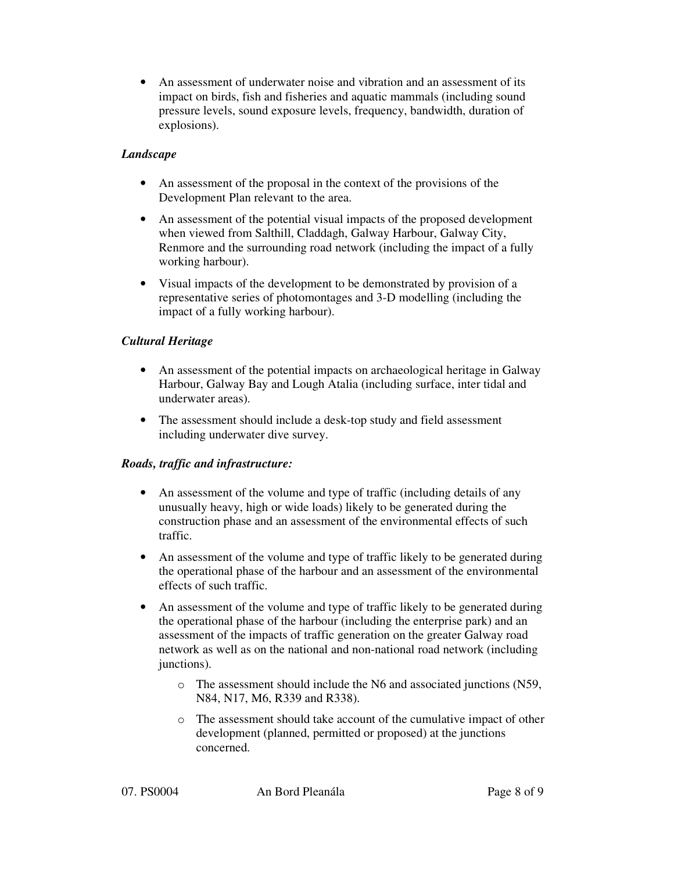• An assessment of underwater noise and vibration and an assessment of its impact on birds, fish and fisheries and aquatic mammals (including sound pressure levels, sound exposure levels, frequency, bandwidth, duration of explosions).

## *Landscape*

- An assessment of the proposal in the context of the provisions of the Development Plan relevant to the area.
- An assessment of the potential visual impacts of the proposed development when viewed from Salthill, Claddagh, Galway Harbour, Galway City, Renmore and the surrounding road network (including the impact of a fully working harbour).
- Visual impacts of the development to be demonstrated by provision of a representative series of photomontages and 3-D modelling (including the impact of a fully working harbour).

# *Cultural Heritage*

- An assessment of the potential impacts on archaeological heritage in Galway Harbour, Galway Bay and Lough Atalia (including surface, inter tidal and underwater areas).
- The assessment should include a desk-top study and field assessment including underwater dive survey.

## *Roads, traffic and infrastructure:*

- An assessment of the volume and type of traffic (including details of any unusually heavy, high or wide loads) likely to be generated during the construction phase and an assessment of the environmental effects of such traffic.
- An assessment of the volume and type of traffic likely to be generated during the operational phase of the harbour and an assessment of the environmental effects of such traffic.
- An assessment of the volume and type of traffic likely to be generated during the operational phase of the harbour (including the enterprise park) and an assessment of the impacts of traffic generation on the greater Galway road network as well as on the national and non-national road network (including junctions).
	- o The assessment should include the N6 and associated junctions (N59, N84, N17, M6, R339 and R338).
	- o The assessment should take account of the cumulative impact of other development (planned, permitted or proposed) at the junctions concerned.